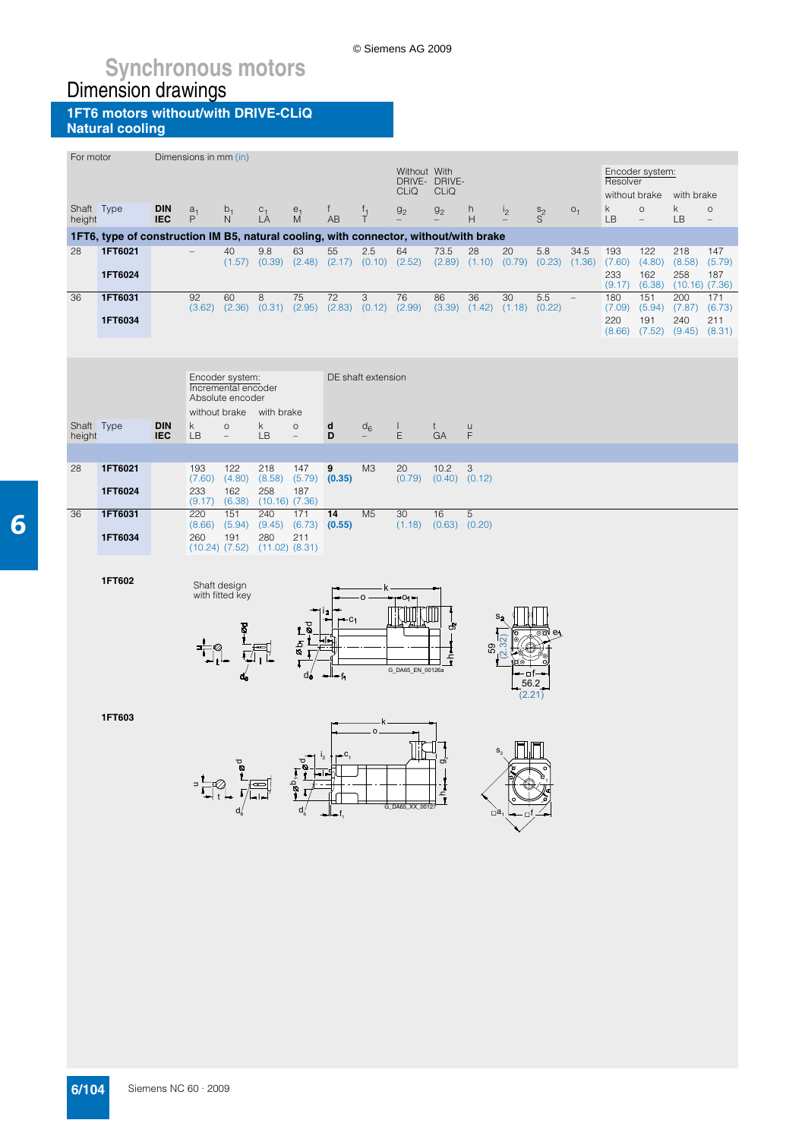© Siemens AG 2009

#### **1FT6 motors without/with DRIVE-CLiQ Natural cooling**

| For motor            |                                                                                                  |                          | Dimensions in mm (in) |                                                            |                                                       |                                     |                        |                                     |                  |                           |                                     |                   |                |                |                         |                         |                                     |                          |
|----------------------|--------------------------------------------------------------------------------------------------|--------------------------|-----------------------|------------------------------------------------------------|-------------------------------------------------------|-------------------------------------|------------------------|-------------------------------------|------------------|---------------------------|-------------------------------------|-------------------|----------------|----------------|-------------------------|-------------------------|-------------------------------------|--------------------------|
|                      |                                                                                                  |                          |                       |                                                            |                                                       |                                     |                        |                                     | Without With     | DRIVE- DRIVE-             |                                     |                   |                |                | Resolver                | Encoder system:         |                                     |                          |
|                      |                                                                                                  |                          |                       |                                                            |                                                       |                                     |                        |                                     | <b>CLiQ</b>      | CLIQ                      |                                     |                   |                |                |                         | without brake           | with brake                          |                          |
| Shaft Type           |                                                                                                  | <b>DIN</b>               | $a_1$                 | $\frac{b_1}{N}$                                            | $C_1$ <sub>L</sub> A                                  | $\overset{e_1}{\mathsf{M}}$         | f                      | $T_1$                               | g <sub>2</sub>   | g <sub>2</sub>            | h                                   | i <sub>2</sub>    | $S^2$          | O <sub>1</sub> | $\mathsf k$             | $\circ$                 | k.                                  | $\circ$                  |
| height               |                                                                                                  | <b>IEC</b>               | P                     |                                                            |                                                       |                                     | AB                     |                                     |                  |                           | H                                   |                   |                |                | LB                      | $\overline{a}$          | LB                                  | $\overline{\phantom{0}}$ |
| 28                   | 1FT6, type of construction IM B5, natural cooling, with connector, without/with brake<br>1FT6021 |                          |                       | 40                                                         | 9.8                                                   | 63                                  | 55                     | 2.5                                 | 64               | 73.5                      | 28                                  | 20                | 5.8            | 34.5           | 193                     | 122                     | 218                                 | 147                      |
|                      | 1FT6024                                                                                          |                          |                       | (1.57)                                                     | (0.39)                                                |                                     |                        | $(2.48)$ $(2.17)$ $(0.10)$ $(2.52)$ |                  | (2.89)                    |                                     | $(1.10)$ $(0.79)$ | (0.23)         | (1.36)         | (7.60)<br>233<br>(9.17) | (4.80)<br>162<br>(6.38) | (8.58)<br>258<br>$(10.16)$ $(7.36)$ | (5.79)<br>187            |
| 36                   | 1FT6031                                                                                          |                          | 92                    | 60                                                         | 8                                                     | 75                                  | 72                     | 3                                   | 76               | 86                        | 36                                  | 30                | 5.5            |                | 180                     | 151                     | 200                                 | 171                      |
|                      | 1FT6034                                                                                          |                          | (3.62)                |                                                            | $(2.36)$ $(0.31)$ $(2.95)$ $(2.83)$ $(0.12)$ $(2.99)$ |                                     |                        |                                     |                  |                           | $(3.39)$ $(1.42)$ $(1.18)$ $(0.22)$ |                   |                |                | (7.09)<br>220           | (5.94)<br>191           | (7.87)<br>240                       | (6.73)<br>211            |
|                      |                                                                                                  |                          |                       |                                                            |                                                       |                                     |                        |                                     |                  |                           |                                     |                   |                |                | (8.66)                  | (7.52)                  | (9.45)                              | (8.31)                   |
|                      |                                                                                                  |                          |                       |                                                            |                                                       |                                     |                        |                                     |                  |                           |                                     |                   |                |                |                         |                         |                                     |                          |
|                      |                                                                                                  |                          |                       |                                                            |                                                       |                                     |                        |                                     |                  |                           |                                     |                   |                |                |                         |                         |                                     |                          |
|                      |                                                                                                  |                          |                       | Encoder system:<br>Incremental encoder<br>Absolute encoder |                                                       |                                     |                        | DE shaft extension                  |                  |                           |                                     |                   |                |                |                         |                         |                                     |                          |
|                      |                                                                                                  |                          | without brake         |                                                            | with brake<br>k.                                      |                                     |                        |                                     |                  |                           |                                     |                   |                |                |                         |                         |                                     |                          |
| Shaft Type<br>height |                                                                                                  | <b>DIN</b><br><b>IEC</b> | k<br><b>LB</b>        | $\circ$<br>$\overline{\phantom{a}}$                        | <b>LB</b>                                             | $\circ$<br>$\overline{\phantom{0}}$ | d<br>D                 | $d_6$                               | L<br>E           | t.<br>GA                  | $\cup$<br>F                         |                   |                |                |                         |                         |                                     |                          |
|                      |                                                                                                  |                          |                       |                                                            |                                                       |                                     |                        |                                     |                  |                           |                                     |                   |                |                |                         |                         |                                     |                          |
| 28                   | 1FT6021                                                                                          |                          | 193<br>(7.60)         | 122<br>(4.80)                                              | 218<br>(8.58)                                         | 147<br>(5.79)                       | 9<br>(0.35)            | M <sub>3</sub>                      | 20<br>(0.79)     | 10.2<br>$(0.40)$ $(0.12)$ | 3                                   |                   |                |                |                         |                         |                                     |                          |
|                      | 1FT6024                                                                                          |                          | 233<br>(9.17)         | 162<br>(6.38)                                              | 258<br>$(10.16)$ $(7.36)$                             | 187                                 |                        |                                     |                  |                           |                                     |                   |                |                |                         |                         |                                     |                          |
| 36                   | 1FT6031                                                                                          |                          | 220                   | 151                                                        | 240                                                   | 171                                 | $\overline{14}$        | M <sub>5</sub>                      | 30               | 16                        | $\overline{5}$                      |                   |                |                |                         |                         |                                     |                          |
|                      | 1FT6034                                                                                          |                          | (8.66)<br>260         | (5.94)<br>191                                              | (9.45)<br>280                                         | (6.73)<br>211                       | (0.55)                 |                                     | (1.18)           | $(0.63)$ $(0.20)$         |                                     |                   |                |                |                         |                         |                                     |                          |
|                      |                                                                                                  |                          |                       | $(10.24)$ $(7.52)$                                         | $(11.02)$ $(8.31)$                                    |                                     |                        |                                     |                  |                           |                                     |                   |                |                |                         |                         |                                     |                          |
|                      |                                                                                                  |                          |                       |                                                            |                                                       |                                     |                        |                                     |                  |                           |                                     |                   |                |                |                         |                         |                                     |                          |
|                      | 1FT602                                                                                           |                          |                       | Shaft design                                               |                                                       |                                     |                        |                                     |                  |                           |                                     |                   |                |                |                         |                         |                                     |                          |
|                      |                                                                                                  |                          |                       | with fitted key                                            |                                                       |                                     |                        | O                                   | -01-             |                           |                                     |                   |                |                |                         |                         |                                     |                          |
|                      |                                                                                                  |                          |                       |                                                            |                                                       | Lø                                  | $-c1$                  |                                     |                  | යි                        |                                     |                   |                |                |                         |                         |                                     |                          |
|                      |                                                                                                  |                          |                       |                                                            |                                                       | ρρ<br>Θ                             |                        |                                     |                  |                           |                                     |                   |                |                |                         |                         |                                     |                          |
|                      |                                                                                                  |                          |                       |                                                            |                                                       |                                     |                        |                                     |                  | f                         | 89                                  |                   |                |                |                         |                         |                                     |                          |
|                      |                                                                                                  |                          |                       |                                                            |                                                       | dé                                  | ∽⊩⊸ f4                 |                                     | G_DA65_EN_00126a |                           |                                     | ∙⊡f               |                |                |                         |                         |                                     |                          |
|                      |                                                                                                  |                          |                       |                                                            |                                                       |                                     |                        |                                     |                  |                           |                                     |                   | 56.2<br>(2.21) |                |                         |                         |                                     |                          |
|                      | 1FT603                                                                                           |                          |                       |                                                            |                                                       |                                     |                        |                                     |                  |                           |                                     |                   |                |                |                         |                         |                                     |                          |
|                      |                                                                                                  |                          |                       |                                                            |                                                       |                                     |                        | $\mathbf{o}$                        |                  |                           |                                     |                   |                |                |                         |                         |                                     |                          |
|                      |                                                                                                  |                          |                       |                                                            |                                                       |                                     | I <sub>2</sub><br>.c., |                                     |                  |                           |                                     |                   |                |                |                         |                         |                                     |                          |
|                      |                                                                                                  |                          |                       |                                                            |                                                       |                                     |                        |                                     |                  | တဲ                        |                                     |                   |                |                |                         |                         |                                     |                          |
|                      |                                                                                                  |                          |                       |                                                            |                                                       | $\mathcal{O}^{\mathbf{O}}$          |                        |                                     |                  | ו<br>יין                  |                                     |                   |                |                |                         |                         |                                     |                          |
|                      |                                                                                                  |                          |                       |                                                            |                                                       |                                     |                        |                                     | G_DA65_XX_00127  |                           |                                     |                   |                |                |                         |                         |                                     |                          |
|                      |                                                                                                  |                          |                       |                                                            |                                                       |                                     |                        |                                     |                  |                           | пa                                  |                   |                |                |                         |                         |                                     |                          |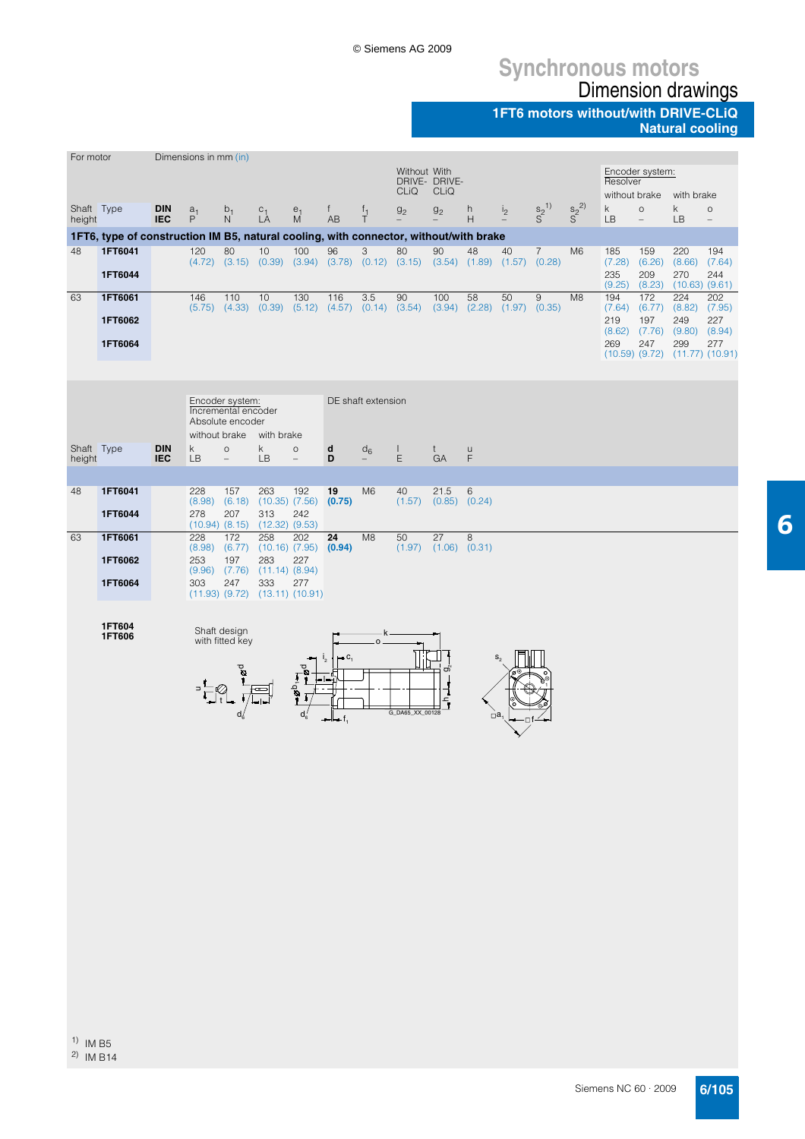#### **1FT6 motors without/with DRIVE-CLiQ Natural cooling**

| For motor            |                                                                                       |                          | Dimensions in mm (in) |                                         |                                                                |                                    |                        |                    |                                                                                           |                 |                                     |                |                 |                 |                           |                              |                                                                 |                                     |
|----------------------|---------------------------------------------------------------------------------------|--------------------------|-----------------------|-----------------------------------------|----------------------------------------------------------------|------------------------------------|------------------------|--------------------|-------------------------------------------------------------------------------------------|-----------------|-------------------------------------|----------------|-----------------|-----------------|---------------------------|------------------------------|-----------------------------------------------------------------|-------------------------------------|
|                      |                                                                                       |                          |                       |                                         |                                                                |                                    |                        |                    | Without With<br>DRIVE- DRIVE-                                                             |                 |                                     |                |                 |                 | Resolver                  | Encoder system:              |                                                                 |                                     |
|                      |                                                                                       |                          |                       |                                         |                                                                |                                    |                        |                    | <b>CLIQ</b>                                                                               | CLIQ            |                                     |                |                 |                 | without brake             |                              | with brake                                                      |                                     |
| Shaft Type<br>height |                                                                                       | <b>DIN</b><br><b>IEC</b> | $\overset{a_1}{P}$    | $\frac{b_1}{N}$                         | $C_1$<br>LA                                                    | $\stackrel{e_1}{M}$                | f<br>AB                | $\frac{f_1}{T}$    | g <sub>2</sub>                                                                            | g <sub>2</sub>  | h<br>H                              | i <sub>2</sub> | $S^{2^{1}}_{2}$ | $S^{2^{2}}_{S}$ | k<br>LB                   | $\circ$<br>$\qquad \qquad -$ | $\mathsf k$<br>LB                                               | $\circ$<br>$\overline{\phantom{a}}$ |
|                      | 1FT6, type of construction IM B5, natural cooling, with connector, without/with brake |                          |                       |                                         |                                                                |                                    |                        |                    |                                                                                           |                 |                                     |                |                 |                 |                           |                              |                                                                 |                                     |
| 48                   | 1FT6041                                                                               |                          | 120                   | 80                                      | 10                                                             | 100                                | 96                     | 3                  | 80                                                                                        | 90              | 48                                  | 40             | $\overline{7}$  | M <sub>6</sub>  | 185                       | 159                          | 220                                                             | 194                                 |
|                      | 1FT6044                                                                               |                          |                       |                                         |                                                                |                                    |                        |                    | $(4.72)$ $(3.15)$ $(0.39)$ $(3.94)$ $(3.78)$ $(0.12)$ $(3.15)$ $(3.54)$ $(1.89)$ $(1.57)$ |                 |                                     |                | (0.28)          |                 | (7.28)<br>235<br>(9.25)   | (6.26)<br>209<br>(8.23)      | (8.66)<br>270                                                   | (7.64)<br>244<br>$(10.63)$ $(9.61)$ |
| 63                   | 1FT6061                                                                               |                          | 146                   | 110                                     | 10                                                             | 130                                | 116                    | 3.5                | 90                                                                                        | 100             | 58                                  | 50             | $\hbox{9}$      | M <sub>8</sub>  | 194                       | 172                          | 224                                                             | 202                                 |
|                      | 1FT6062                                                                               |                          |                       |                                         | $(5.75)$ $(4.33)$ $(0.39)$ $(5.12)$ $(4.57)$ $(0.14)$ $(3.54)$ |                                    |                        |                    |                                                                                           |                 | $(3.94)$ $(2.28)$ $(1.97)$ $(0.35)$ |                |                 |                 | 219                       | 197<br>$(8.62)$ $(7.76)$     | $(7.64)$ $(6.77)$ $(8.82)$ $(7.95)$<br>249<br>$(9.80)$ $(8.94)$ | 227                                 |
|                      | 1FT6064                                                                               |                          |                       |                                         |                                                                |                                    |                        |                    |                                                                                           |                 |                                     |                |                 |                 | 269<br>$(10.59)$ $(9.72)$ | 247                          | 299                                                             | 277<br>$(11.77)$ $(10.91)$          |
|                      |                                                                                       |                          |                       |                                         |                                                                |                                    |                        |                    |                                                                                           |                 |                                     |                |                 |                 |                           |                              |                                                                 |                                     |
|                      |                                                                                       |                          |                       | Encoder system:                         |                                                                |                                    |                        | DE shaft extension |                                                                                           |                 |                                     |                |                 |                 |                           |                              |                                                                 |                                     |
|                      |                                                                                       |                          |                       | Incremental encoder<br>Absolute encoder |                                                                |                                    |                        |                    |                                                                                           |                 |                                     |                |                 |                 |                           |                              |                                                                 |                                     |
| Shaft Type           |                                                                                       | <b>DIN</b>               | k.                    | $\circ$                                 | without brake with brake<br>k                                  | $\circ$                            |                        |                    |                                                                                           |                 |                                     |                |                 |                 |                           |                              |                                                                 |                                     |
| height               |                                                                                       | <b>IEC</b>               | <b>LB</b>             | $\overline{\phantom{a}}$                | <b>LB</b>                                                      | $\overline{\phantom{0}}$           | d<br>D                 | $d_6$              | $\color{red} \blacklozenge$<br>Ε                                                          | t<br>GA         | $\sf u$<br>F                        |                |                 |                 |                           |                              |                                                                 |                                     |
|                      |                                                                                       |                          |                       |                                         |                                                                |                                    |                        |                    |                                                                                           |                 |                                     |                |                 |                 |                           |                              |                                                                 |                                     |
| 48                   | 1FT6041                                                                               |                          | 228<br>(8.98)         | 157<br>(6.18)                           | 263                                                            | 192<br>$(10.35)$ $(7.56)$ $(0.75)$ | 19                     | M <sub>6</sub>     | 40<br>(1.57)                                                                              | 21.5            | $\,6$<br>$(0.85)$ $(0.24)$          |                |                 |                 |                           |                              |                                                                 |                                     |
|                      | 1FT6044                                                                               |                          | 278                   | 207<br>$(10.94)$ $(8.15)$               | 313<br>$(12.32)$ $(9.53)$                                      | 242                                |                        |                    |                                                                                           |                 |                                     |                |                 |                 |                           |                              |                                                                 |                                     |
| 63                   | 1FT6061                                                                               |                          | 228<br>(8.98)         | 172<br>(6.77)                           | 258                                                            | 202<br>$(10.16)$ $(7.95)$ $(0.94)$ | 24                     | M <sub>8</sub>     | 50<br>$(1.97)$ $(1.06)$ $(0.31)$                                                          | $\overline{27}$ | 8                                   |                |                 |                 |                           |                              |                                                                 |                                     |
|                      | 1FT6062                                                                               |                          | 253<br>(9.96)         | 197<br>(7.76)                           | 283<br>$(11.14)$ $(8.94)$                                      | 227                                |                        |                    |                                                                                           |                 |                                     |                |                 |                 |                           |                              |                                                                 |                                     |
|                      | 1FT6064                                                                               |                          | 303                   | 247                                     | 333                                                            | 277                                |                        |                    |                                                                                           |                 |                                     |                |                 |                 |                           |                              |                                                                 |                                     |
|                      |                                                                                       |                          |                       |                                         | $(11.93)$ $(9.72)$ $(13.11)$ $(10.91)$                         |                                    |                        |                    |                                                                                           |                 |                                     |                |                 |                 |                           |                              |                                                                 |                                     |
|                      | 1FT604                                                                                |                          |                       | Shaft design                            |                                                                |                                    |                        |                    |                                                                                           |                 |                                     |                |                 |                 |                           |                              |                                                                 |                                     |
|                      | 1FT606                                                                                |                          |                       | with fitted key                         |                                                                |                                    | – C,<br>I <sub>2</sub> | o                  |                                                                                           |                 |                                     | $S_{\alpha}$   |                 |                 |                           |                              |                                                                 |                                     |
|                      |                                                                                       |                          |                       |                                         |                                                                |                                    |                        |                    |                                                                                           | တဲ              |                                     |                |                 |                 |                           |                              |                                                                 |                                     |
|                      |                                                                                       |                          |                       |                                         |                                                                | $-2b$                              |                        |                    |                                                                                           | $\frac{1}{1}$   |                                     |                |                 |                 |                           |                              |                                                                 |                                     |
|                      |                                                                                       |                          |                       |                                         |                                                                |                                    | —l— f,                 |                    | G_DA65_XX_00128                                                                           |                 |                                     | $\Box$ a<br>٠Π |                 |                 |                           |                              |                                                                 |                                     |
|                      |                                                                                       |                          |                       |                                         |                                                                |                                    |                        |                    |                                                                                           |                 |                                     |                |                 |                 |                           |                              |                                                                 |                                     |
|                      |                                                                                       |                          |                       |                                         |                                                                |                                    |                        |                    |                                                                                           |                 |                                     |                |                 |                 |                           |                              |                                                                 |                                     |
|                      |                                                                                       |                          |                       |                                         |                                                                |                                    |                        |                    |                                                                                           |                 |                                     |                |                 |                 |                           |                              |                                                                 |                                     |
|                      |                                                                                       |                          |                       |                                         |                                                                |                                    |                        |                    |                                                                                           |                 |                                     |                |                 |                 |                           |                              |                                                                 |                                     |
|                      |                                                                                       |                          |                       |                                         |                                                                |                                    |                        |                    |                                                                                           |                 |                                     |                |                 |                 |                           |                              |                                                                 |                                     |
|                      |                                                                                       |                          |                       |                                         |                                                                |                                    |                        |                    |                                                                                           |                 |                                     |                |                 |                 |                           |                              |                                                                 |                                     |
|                      |                                                                                       |                          |                       |                                         |                                                                |                                    |                        |                    |                                                                                           |                 |                                     |                |                 |                 |                           |                              |                                                                 |                                     |
|                      |                                                                                       |                          |                       |                                         |                                                                |                                    |                        |                    |                                                                                           |                 |                                     |                |                 |                 |                           |                              |                                                                 |                                     |
|                      |                                                                                       |                          |                       |                                         |                                                                |                                    |                        |                    |                                                                                           |                 |                                     |                |                 |                 |                           |                              |                                                                 |                                     |
|                      |                                                                                       |                          |                       |                                         |                                                                |                                    |                        |                    |                                                                                           |                 |                                     |                |                 |                 |                           |                              |                                                                 |                                     |
|                      |                                                                                       |                          |                       |                                         |                                                                |                                    |                        |                    |                                                                                           |                 |                                     |                |                 |                 |                           |                              |                                                                 |                                     |
|                      |                                                                                       |                          |                       |                                         |                                                                |                                    |                        |                    |                                                                                           |                 |                                     |                |                 |                 |                           |                              |                                                                 |                                     |
|                      |                                                                                       |                          |                       |                                         |                                                                |                                    |                        |                    |                                                                                           |                 |                                     |                |                 |                 |                           |                              |                                                                 |                                     |
|                      |                                                                                       |                          |                       |                                         |                                                                |                                    |                        |                    |                                                                                           |                 |                                     |                |                 |                 |                           |                              |                                                                 |                                     |

Siemens NC 60 · 2009 **6/105**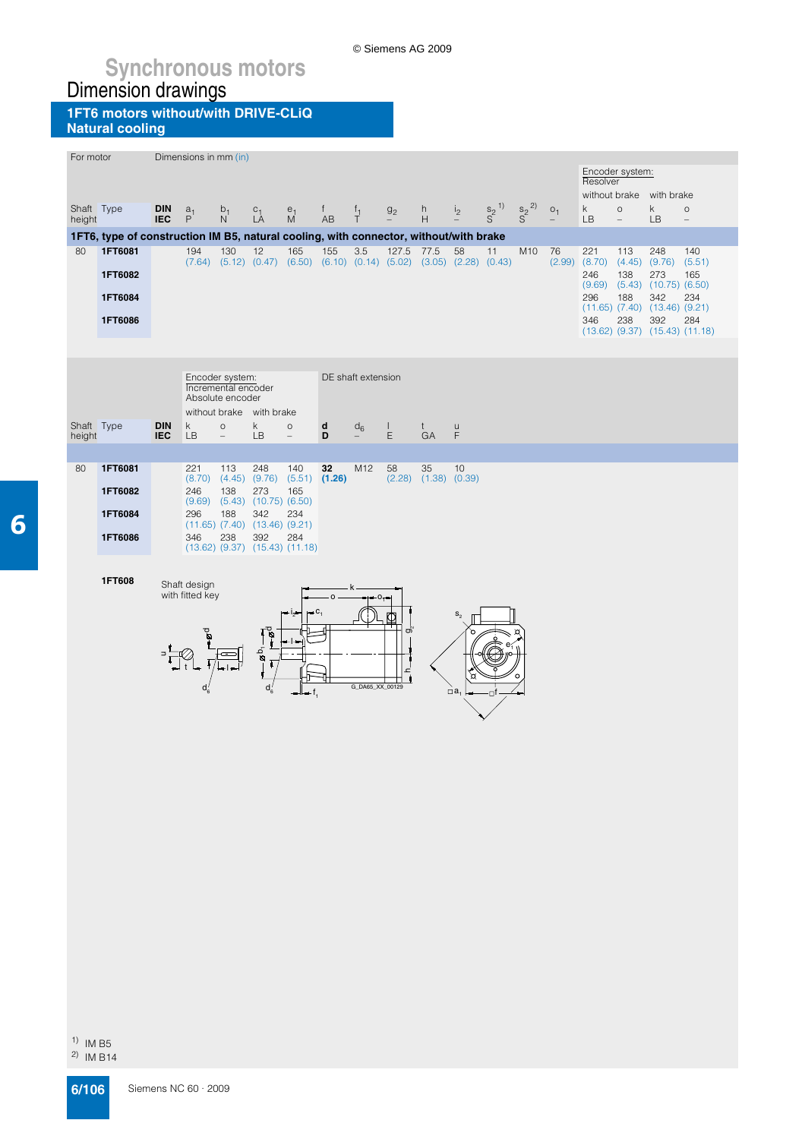**1FT6 motors without/with DRIVE-CLiQ Natural cooling**

| For motor            |                                                                                                              |                          | Dimensions in mm (in) |                          |                                              |                                                                                                  |         |                 |              |                            |                |                                 |                   |                |                          |                                     |                                               |                                     |  |
|----------------------|--------------------------------------------------------------------------------------------------------------|--------------------------|-----------------------|--------------------------|----------------------------------------------|--------------------------------------------------------------------------------------------------|---------|-----------------|--------------|----------------------------|----------------|---------------------------------|-------------------|----------------|--------------------------|-------------------------------------|-----------------------------------------------|-------------------------------------|--|
|                      |                                                                                                              |                          |                       |                          |                                              |                                                                                                  |         |                 |              |                            |                |                                 |                   |                | Resolver                 | Encoder system:                     |                                               |                                     |  |
|                      |                                                                                                              |                          |                       |                          |                                              |                                                                                                  |         |                 |              |                            |                |                                 |                   |                |                          |                                     | without brake with brake                      |                                     |  |
| Shaft Type<br>height |                                                                                                              | <b>DIN</b><br><b>IEC</b> | a <sub>1</sub><br>P   | $b_1$<br>N               | $C_1$<br>LA                                  | $\stackrel{e_1}{M}$                                                                              | f<br>AB | $\frac{f_1}{T}$ | $g_2$        | h<br>H                     | i <sub>2</sub> | $\frac{s_2}{s_1}$ <sup>1)</sup> | $\frac{s_2}{s^2}$ | O <sub>1</sub> | $\mathsf k$<br><b>LB</b> | $\circ$<br>$\overline{\phantom{a}}$ | k<br>LB                                       | $\circ$<br>$\overline{\phantom{a}}$ |  |
|                      | 1FT6, type of construction IM B5, natural cooling, with connector, without/with brake                        |                          |                       |                          |                                              |                                                                                                  |         |                 |              |                            |                |                                 |                   |                |                          |                                     |                                               |                                     |  |
| 80                   | 1FT6081                                                                                                      |                          | 194                   | 130                      | 12                                           | 165<br>$(7.64)$ $(5.12)$ $(0.47)$ $(6.50)$ $(6.10)$ $(0.14)$ $(5.02)$ $(3.05)$ $(2.28)$ $(0.43)$ | 155     | 3.5             | 127.5        | 77.5                       | 58             | 11                              | M10               | 76<br>(2.99)   | 221<br>(8.70)            | 113                                 | 248<br>$(4.45)$ $(9.76)$                      | 140<br>(5.51)                       |  |
|                      | 1FT6082                                                                                                      |                          |                       |                          |                                              |                                                                                                  |         |                 |              |                            |                |                                 |                   |                | 246<br>(9.69)            | 138                                 | 273<br>$(5.43)$ $(10.75)$ $(6.50)$            | 165                                 |  |
|                      | 1FT6084                                                                                                      |                          |                       |                          |                                              |                                                                                                  |         |                 |              |                            |                |                                 |                   |                | 296                      | 188                                 | 342<br>$(11.65)$ $(7.40)$ $(13.46)$ $(9.21)$  | 234                                 |  |
|                      | 1FT6086                                                                                                      |                          |                       |                          |                                              |                                                                                                  |         |                 |              |                            |                |                                 |                   |                | 346                      | 238                                 | 392<br>$(13.62)$ $(9.37)$ $(15.43)$ $(11.18)$ | 284                                 |  |
|                      |                                                                                                              |                          |                       |                          |                                              |                                                                                                  |         |                 |              |                            |                |                                 |                   |                |                          |                                     |                                               |                                     |  |
|                      |                                                                                                              |                          |                       |                          |                                              |                                                                                                  |         |                 |              |                            |                |                                 |                   |                |                          |                                     |                                               |                                     |  |
|                      |                                                                                                              |                          |                       |                          |                                              |                                                                                                  |         |                 |              |                            |                |                                 |                   |                |                          |                                     |                                               |                                     |  |
|                      | DE shaft extension<br>Encoder system:<br>Incremental encoder<br>Absolute encoder<br>without brake with brake |                          |                       |                          |                                              |                                                                                                  |         |                 |              |                            |                |                                 |                   |                |                          |                                     |                                               |                                     |  |
| Shaft Type           |                                                                                                              | <b>DIN</b>               | k.                    | $\circ$                  | k.                                           | $\circ$                                                                                          | d       | $d_6$           | $\mathbf{L}$ | $t$                        | u              |                                 |                   |                |                          |                                     |                                               |                                     |  |
| height               |                                                                                                              | <b>IEC</b>               | <b>LB</b>             | $\overline{\phantom{0}}$ | LB                                           | $\qquad \qquad -$                                                                                | D       |                 | E            | GA                         | F              |                                 |                   |                |                          |                                     |                                               |                                     |  |
| 80                   | 1FT6081                                                                                                      |                          | 221                   | 113                      | 248                                          | 140                                                                                              | 32      | M <sub>12</sub> | 58           | 35                         | 10             |                                 |                   |                |                          |                                     |                                               |                                     |  |
|                      |                                                                                                              |                          |                       |                          |                                              | $(8.70)$ $(4.45)$ $(9.76)$ $(5.51)$ $(1.26)$                                                     |         |                 |              | $(2.28)$ $(1.38)$ $(0.39)$ |                |                                 |                   |                |                          |                                     |                                               |                                     |  |
|                      | 1FT6082                                                                                                      |                          | 246                   | 138                      | 273<br>$(9.69)$ $(5.43)$ $(10.75)$ $(6.50)$  | 165                                                                                              |         |                 |              |                            |                |                                 |                   |                |                          |                                     |                                               |                                     |  |
|                      | 1FT6084                                                                                                      |                          | 296                   | 188                      | 342<br>$(11.65)$ $(7.40)$ $(13.46)$ $(9.21)$ | 234                                                                                              |         |                 |              |                            |                |                                 |                   |                |                          |                                     |                                               |                                     |  |
|                      | 1FT6086                                                                                                      |                          | 346                   | 238                      | 392                                          | 284<br>$(13.62)$ $(9.37)$ $(15.43)$ $(11.18)$                                                    |         |                 |              |                            |                |                                 |                   |                |                          |                                     |                                               |                                     |  |
|                      |                                                                                                              |                          |                       |                          |                                              |                                                                                                  |         |                 |              |                            |                |                                 |                   |                |                          |                                     |                                               |                                     |  |
|                      | 1FT608                                                                                                       |                          | Shaft design          |                          |                                              |                                                                                                  |         |                 |              |                            |                |                                 |                   |                |                          |                                     |                                               |                                     |  |
|                      |                                                                                                              |                          | with fitted key       |                          |                                              |                                                                                                  |         |                 | $O_{\tau}$   |                            |                |                                 |                   |                |                          |                                     |                                               |                                     |  |
|                      |                                                                                                              |                          |                       |                          |                                              |                                                                                                  |         |                 |              |                            | $S_{\alpha}$   |                                 |                   |                |                          |                                     |                                               |                                     |  |
|                      |                                                                                                              |                          |                       |                          | $\mathbb{P}^{\mathcal{B}-}$                  |                                                                                                  |         |                 | ත            |                            |                |                                 |                   |                |                          |                                     |                                               |                                     |  |
|                      |                                                                                                              |                          |                       |                          | $\mathbf{e}^{\mathbf{b}}$                    |                                                                                                  |         |                 |              |                            |                |                                 |                   |                |                          |                                     |                                               |                                     |  |
|                      |                                                                                                              |                          |                       |                          |                                              |                                                                                                  |         |                 |              |                            |                |                                 |                   |                |                          |                                     |                                               |                                     |  |
|                      |                                                                                                              |                          |                       |                          | d.                                           |                                                                                                  |         | G_DA65_XX_00129 |              |                            | $\Box a$       |                                 |                   |                |                          |                                     |                                               |                                     |  |
|                      |                                                                                                              |                          |                       |                          |                                              |                                                                                                  |         |                 |              |                            |                |                                 |                   |                |                          |                                     |                                               |                                     |  |
|                      |                                                                                                              |                          |                       |                          |                                              |                                                                                                  |         |                 |              |                            |                |                                 |                   |                |                          |                                     |                                               |                                     |  |

© Siemens AG 2009

6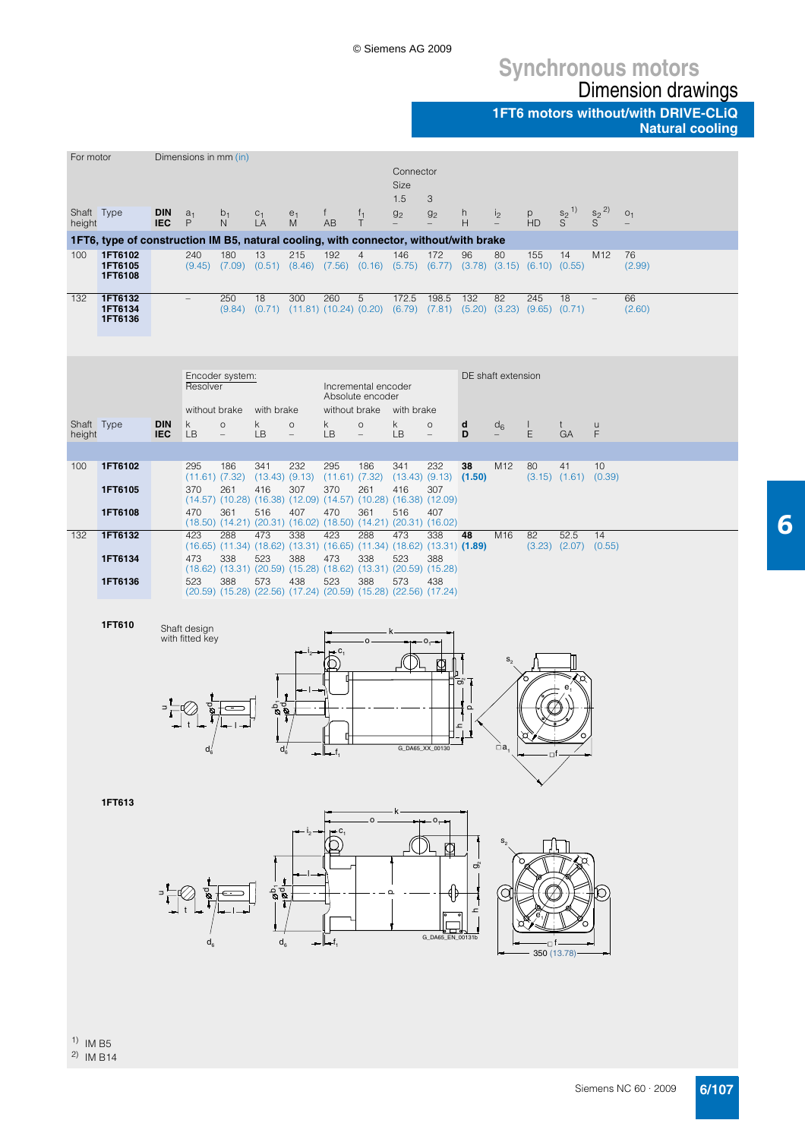# **Synchronous motors**

Dimension drawings **1FT6 motors without/with DRIVE-CLiQ**

**Natural cooling**

6

| For motor            |                                                                                       |                          | Dimensions in mm (in)           |                                     |                        |                                                                                                             |                                  |                                         |                                 |                                     |                   |                    |             |                                  |                       |                |
|----------------------|---------------------------------------------------------------------------------------|--------------------------|---------------------------------|-------------------------------------|------------------------|-------------------------------------------------------------------------------------------------------------|----------------------------------|-----------------------------------------|---------------------------------|-------------------------------------|-------------------|--------------------|-------------|----------------------------------|-----------------------|----------------|
|                      |                                                                                       |                          |                                 |                                     |                        |                                                                                                             |                                  |                                         | Connector<br><b>Size</b><br>1.5 | 3                                   |                   |                    |             |                                  |                       |                |
| Shaft Type<br>height |                                                                                       | <b>DIN</b><br><b>IEC</b> | $a_1$<br>P                      | $b_1$<br>N                          | $C_1$ <sub>L</sub> A   | $\stackrel{e_1}{M}$                                                                                         | $f_{\perp}$<br>AB                | $\frac{f_1}{T}$                         | 9 <sub>2</sub>                  | g <sub>2</sub>                      | h.<br>H           | i <sub>2</sub>     | p<br>HD     | $rac{s_2}{S}^{1)}$               | $S^{2}$ <sup>2)</sup> | O <sub>1</sub> |
|                      | 1FT6, type of construction IM B5, natural cooling, with connector, without/with brake |                          |                                 |                                     |                        |                                                                                                             |                                  |                                         |                                 |                                     |                   |                    |             |                                  |                       |                |
| 100                  | 1FT6102<br>1FT6105<br>1FT6108                                                         |                          | 240                             | 180                                 | 13                     | 215<br>(9.45) (7.09) (0.51) (8.46) (7.56) (0.16) (5.75) (6.77) (3.78) (3.15) (6.10) (0.55)                  | 192                              | $\overline{4}$                          | 146                             | 172                                 | 96                | 80                 | 155         | 14                               | M <sub>12</sub>       | 76<br>(2.99)   |
| 132                  | 1FT6132<br>1FT6134<br>1FT6136                                                         |                          | $\overline{\phantom{a}}$        | 250                                 | 18                     | 300<br>$(9.84)$ $(0.71)$ $(11.81)$ $(10.24)$ $(0.20)$ $(6.79)$ $(7.81)$ $(5.20)$ $(3.23)$ $(9.65)$ $(0.71)$ | 260                              | 5                                       | 172.5                           | 198.5                               | 132               | 82                 | 245         | 18                               |                       | 66<br>(2.60)   |
|                      |                                                                                       |                          | Resolver                        | Encoder system:                     |                        |                                                                                                             |                                  | Incremental encoder<br>Absolute encoder |                                 |                                     |                   | DE shaft extension |             |                                  |                       |                |
| Shaft Type<br>height |                                                                                       | <b>DIN</b><br><b>IEC</b> | without brake<br>k<br>LB        | $\circ$<br>$\overline{\phantom{a}}$ | with brake<br>k.<br>LB | $\circ$<br>$\overline{\phantom{0}}$                                                                         | without brake<br>k.<br><b>LB</b> | $\circ$<br>$\overline{\phantom{0}}$     | with brake<br>k.<br>LB          | $\circ$<br>$\overline{\phantom{0}}$ | d<br>D            | $d_6$<br>$\equiv$  | L<br>Ε      | t<br>GA                          | u<br>F                |                |
|                      |                                                                                       |                          |                                 |                                     |                        |                                                                                                             |                                  |                                         |                                 |                                     |                   |                    |             |                                  |                       |                |
| 100                  | 1FT6102                                                                               |                          | 295                             | 186<br>$(11.61)$ $(7.32)$           | 341                    | 232<br>$(13.43)$ $(9.13)$ $(11.61)$ $(7.32)$                                                                | 295                              | 186                                     | 341                             | 232<br>$(13.43)$ $(9.13)$ $(1.50)$  | 38                | M12                | 80          | 41<br>$(3.15)$ $(1.61)$ $(0.39)$ | 10                    |                |
|                      | 1FT6105                                                                               |                          | 370                             | 261                                 | 416                    | 307                                                                                                         | 370                              | 261                                     | 416                             | 307                                 |                   |                    |             |                                  |                       |                |
|                      | 1FT6108                                                                               |                          | 470                             | 361                                 | 516                    | $(14.57)$ $(10.28)$ $(16.38)$ $(12.09)$ $(14.57)$ $(10.28)$ $(16.38)$ $(12.09)$<br>407                      | 470                              | 361                                     | 516                             | 407                                 |                   |                    |             |                                  |                       |                |
| 132                  | 1FT6132                                                                               |                          | 423                             | 288                                 | 473                    | (18.50) (14.21) (20.31) (16.02) (18.50) (14.21) (20.31) (16.02)<br>338                                      | 423                              | 288                                     | 473                             | 338                                 | 48                | M16                | 82          | 52.5                             | 14                    |                |
|                      | 1FT6134                                                                               |                          | 473                             | 338                                 | 523                    | $(16.65)$ $(11.34)$ $(18.62)$ $(13.31)$ $(16.65)$ $(11.34)$ $(18.62)$ $(13.31)$ $(1.89)$<br>388             | 473                              | 338                                     | 523                             | 388                                 |                   |                    |             | $(3.23)$ $(2.07)$ $(0.55)$       |                       |                |
|                      |                                                                                       |                          |                                 |                                     |                        | $(18.62)$ $(13.31)$ $(20.59)$ $(15.28)$ $(18.62)$ $(13.31)$ $(20.59)$ $(15.28)$                             |                                  |                                         |                                 |                                     |                   |                    |             |                                  |                       |                |
|                      | 1FT6136                                                                               |                          | 523                             | 388                                 | 573                    | 438<br>(20.59) (15.28) (22.56) (17.24) (20.59) (15.28) (22.56) (17.24)                                      | 523                              | 388                                     | 573                             | 438                                 |                   |                    |             |                                  |                       |                |
|                      |                                                                                       |                          |                                 |                                     |                        |                                                                                                             |                                  |                                         |                                 |                                     |                   |                    |             |                                  |                       |                |
|                      | 1FT610                                                                                |                          | Shaft design<br>with fitted key |                                     |                        |                                                                                                             |                                  |                                         |                                 |                                     |                   |                    |             |                                  |                       |                |
|                      |                                                                                       |                          |                                 |                                     |                        |                                                                                                             |                                  |                                         |                                 |                                     |                   |                    |             |                                  |                       |                |
|                      |                                                                                       |                          |                                 |                                     |                        |                                                                                                             |                                  |                                         |                                 | Ф                                   |                   |                    |             |                                  |                       |                |
|                      |                                                                                       |                          |                                 |                                     |                        |                                                                                                             |                                  |                                         |                                 |                                     | တဲ                |                    |             |                                  |                       |                |
|                      |                                                                                       |                          |                                 |                                     | ू है<br>इ              |                                                                                                             |                                  |                                         |                                 |                                     | $\mathbf{\Omega}$ |                    |             |                                  |                       |                |
|                      |                                                                                       |                          |                                 |                                     |                        |                                                                                                             |                                  |                                         |                                 |                                     | ء                 |                    |             |                                  |                       |                |
|                      |                                                                                       |                          | $u_6$                           |                                     |                        |                                                                                                             |                                  |                                         | G_DA65_XX_00130                 |                                     |                   | $\Box$ a           |             |                                  |                       |                |
|                      |                                                                                       |                          |                                 |                                     |                        |                                                                                                             |                                  |                                         |                                 |                                     |                   |                    |             |                                  |                       |                |
|                      |                                                                                       |                          |                                 |                                     |                        |                                                                                                             |                                  |                                         |                                 |                                     |                   |                    |             |                                  |                       |                |
|                      | 1FT613                                                                                |                          |                                 |                                     |                        |                                                                                                             |                                  |                                         |                                 |                                     |                   |                    |             |                                  |                       |                |
|                      |                                                                                       |                          |                                 |                                     |                        |                                                                                                             |                                  |                                         |                                 |                                     |                   |                    |             |                                  |                       |                |
|                      |                                                                                       |                          |                                 |                                     |                        |                                                                                                             |                                  |                                         |                                 |                                     |                   |                    |             |                                  |                       |                |
|                      |                                                                                       |                          |                                 |                                     |                        |                                                                                                             |                                  |                                         |                                 |                                     | තී                |                    |             |                                  |                       |                |
|                      |                                                                                       |                          |                                 |                                     | $\frac{5}{8}$          |                                                                                                             |                                  |                                         |                                 |                                     |                   |                    |             |                                  |                       |                |
|                      |                                                                                       |                          |                                 |                                     |                        |                                                                                                             |                                  |                                         |                                 |                                     |                   |                    |             |                                  |                       |                |
|                      |                                                                                       |                          |                                 |                                     |                        |                                                                                                             |                                  |                                         |                                 | G_DA65_EN_00131b                    |                   |                    |             |                                  |                       |                |
|                      |                                                                                       |                          |                                 |                                     | $d_{\kappa}$           |                                                                                                             |                                  |                                         |                                 |                                     |                   |                    | 350 (13.78) |                                  |                       |                |
|                      |                                                                                       |                          |                                 |                                     |                        |                                                                                                             |                                  |                                         |                                 |                                     |                   |                    |             |                                  |                       |                |
|                      |                                                                                       |                          |                                 |                                     |                        |                                                                                                             |                                  |                                         |                                 |                                     |                   |                    |             |                                  |                       |                |
|                      |                                                                                       |                          |                                 |                                     |                        |                                                                                                             |                                  |                                         |                                 |                                     |                   |                    |             |                                  |                       |                |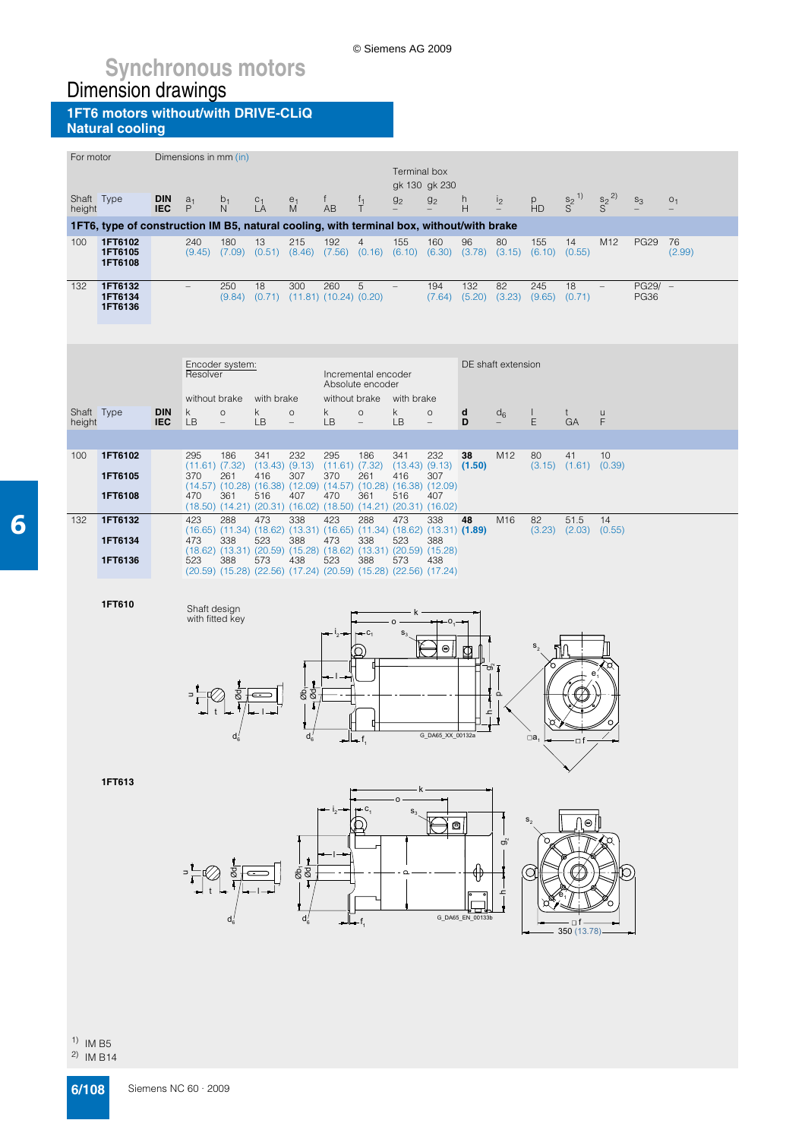© Siemens AG 2009

#### **1FT6 motors without/with DRIVE-CLiQ Natural cooling**

| For motor            |                                                                                          |                          | Dimensions in mm (in)     |                                  |                                                                                                                                                                                                                                                              |                                     |                                  |                                                                     | Terminal box      | gk 130 gk 230                                    |                  |                    |                |                                      |                      |                          |                                            |  |
|----------------------|------------------------------------------------------------------------------------------|--------------------------|---------------------------|----------------------------------|--------------------------------------------------------------------------------------------------------------------------------------------------------------------------------------------------------------------------------------------------------------|-------------------------------------|----------------------------------|---------------------------------------------------------------------|-------------------|--------------------------------------------------|------------------|--------------------|----------------|--------------------------------------|----------------------|--------------------------|--------------------------------------------|--|
| Shaft Type<br>height |                                                                                          | <b>DIN</b><br><b>IEC</b> | a <sub>1</sub><br>P       | $b_1$<br>N                       | $C_1$ <sub>L</sub> A                                                                                                                                                                                                                                         | $\frac{e_1}{M}$                     | $^{\dagger}$<br>AB               | $\frac{f_1}{T}$                                                     | 9 <sub>2</sub>    | g <sub>2</sub>                                   | h<br>Н           | 12                 | p<br>HD        | $S^{2}$ <sup>1)</sup>                | $\frac{S_2}{S}^{2)}$ | $S_3$                    | O <sub>1</sub><br>$\overline{\phantom{0}}$ |  |
|                      | 1FT6, type of construction IM B5, natural cooling, with terminal box, without/with brake |                          |                           |                                  |                                                                                                                                                                                                                                                              |                                     |                                  |                                                                     |                   |                                                  |                  |                    |                |                                      |                      |                          |                                            |  |
| 100                  | 1FT6102<br>1FT6105<br>1FT6108                                                            |                          | 240                       | 180                              | 13<br>$(9.45)$ $(7.09)$ $(0.51)$ $(8.46)$ $(7.56)$ $(0.16)$ $(6.10)$ $(6.30)$ $(3.78)$ $(3.15)$                                                                                                                                                              | 215                                 | 192                              | $\overline{4}$                                                      | 155               | 160                                              | 96               | 80                 | 155<br>(6.10)  | 14<br>(0.55)                         | M12                  | <b>PG29</b>              | 76<br>(2.99)                               |  |
| 132                  | 1FT6132<br>1FT6134<br>1FT6136                                                            |                          | $\overline{\phantom{a}}$  | 250                              | 18<br>$(9.84)$ $(0.71)$                                                                                                                                                                                                                                      | 300<br>$(11.81)$ $(10.24)$ $(0.20)$ | 260                              | 5                                                                   | $\qquad \qquad -$ | 194<br>$(7.64)$ $(5.20)$                         | 132              | 82<br>(3.23)       | 245<br>(9.65)  | 18<br>(0.71)                         |                      | $PG29/ -$<br><b>PG36</b> |                                            |  |
|                      |                                                                                          |                          | Resolver<br>without brake | Encoder system:                  | with brake                                                                                                                                                                                                                                                   |                                     |                                  | Incremental encoder<br>Absolute encoder<br>without brake with brake |                   |                                                  |                  | DE shaft extension |                |                                      |                      |                          |                                            |  |
| Shaft Type<br>height |                                                                                          | <b>DIN</b><br><b>IEC</b> | $\sf k$<br><b>LB</b>      | $\circ$<br>$\qquad \qquad -$     | k<br><b>LB</b>                                                                                                                                                                                                                                               | $\circ$<br>$\overline{a}$           | k.<br><b>LB</b>                  | $\circ$                                                             | k<br>LB           | $\circ$<br>$\overline{\phantom{0}}$              | d<br>D           | $d_6$              | L<br>E         | t<br>GA                              | u<br>F               |                          |                                            |  |
| 100                  | 1FT6102                                                                                  |                          | 295                       | 186                              | 341                                                                                                                                                                                                                                                          |                                     | 295                              | 186                                                                 | 341               |                                                  | 38               | M12                | 80             | 41                                   | 10                   |                          |                                            |  |
|                      | 1FT6105<br>1FT6108                                                                       |                          | 370<br>470                | $(11.61)$ $(7.32)$<br>261<br>361 | $(13.43)$ $(9.13)$<br>416<br>$(14.57)$ $(10.28)$ $(16.38)$ $(12.09)$ $(14.57)$ $(10.28)$ $(16.38)$ $(12.09)$<br>516<br>(18.50) (14.21) (20.31) (16.02) (18.50) (14.21) (20.31) (16.02)                                                                       | 232<br>307<br>407                   | $(11.61)$ $(7.32)$<br>370<br>470 | 261<br>361                                                          | 416<br>516        | 232<br>$(13.43)$ $(9.13)$ $(1.50)$<br>307<br>407 |                  |                    |                | $(3.15)$ $(1.61)$ $(0.39)$           |                      |                          |                                            |  |
| 132                  | 1FT6132                                                                                  |                          | 423                       | 288                              | 473                                                                                                                                                                                                                                                          | 338                                 | 423                              | 288                                                                 | 473               | 338                                              | 48               | M16                | 82             | 51.5                                 | 14                   |                          |                                            |  |
|                      | 1FT6134<br>1FT6136                                                                       |                          | 473<br>523                | 338<br>388                       | $(16.65)$ $(11.34)$ $(18.62)$ $(13.31)$ $(16.65)$ $(11.34)$ $(18.62)$ $(13.31)$ $(1.89)$<br>523<br>$(18.62)$ $(13.31)$ $(20.59)$ $(15.28)$ $(18.62)$ $(13.31)$ $(20.59)$ $(15.28)$<br>573<br>(20.59) (15.28) (22.56) (17.24) (20.59) (15.28) (22.56) (17.24) | 388<br>438                          | 473<br>523                       | 338<br>388                                                          | 523<br>573        | 388<br>438                                       |                  |                    | (3.23)         | (2.03)                               | (0.55)               |                          |                                            |  |
|                      | 1FT610                                                                                   |                          | Shaft design              | with fitted key                  |                                                                                                                                                                                                                                                              |                                     |                                  |                                                                     | $\Omega$          | –റ                                               |                  |                    |                |                                      |                      |                          |                                            |  |
|                      |                                                                                          |                          |                           |                                  |                                                                                                                                                                                                                                                              | Øb,<br>ह<br>$d_6'$                  |                                  | - f.                                                                |                   | $\Theta$<br>G_DA65_XX_00132a                     | တ<br>ᇰ           | $\Omega$           | ¶ิ<br>$\Box a$ | of                                   |                      |                          |                                            |  |
|                      | 1FT613                                                                                   |                          |                           |                                  |                                                                                                                                                                                                                                                              | $rac{1}{8}$<br>ď                    |                                  |                                                                     | o<br>$S_2$        | o                                                | G_DA65_EN_00133b | $\sigma$<br>ᅩ      | a              | $\boldsymbol{\Theta}$<br>350 (13.78) |                      |                          |                                            |  |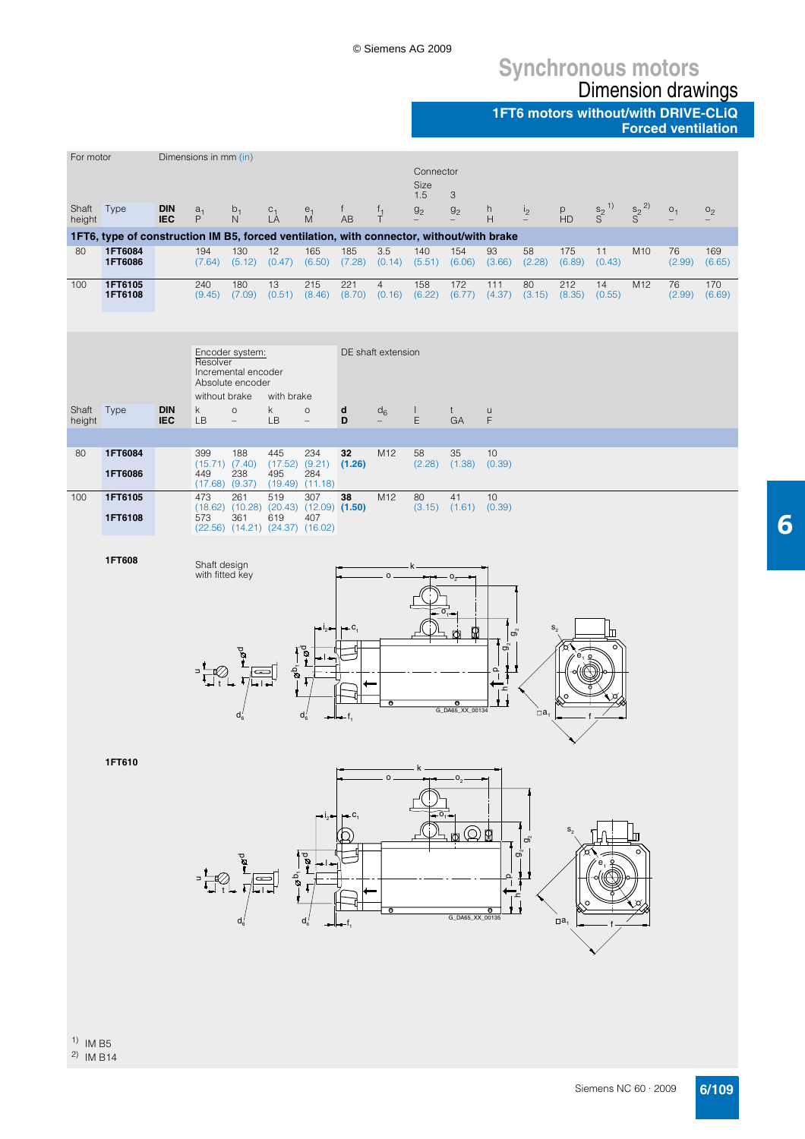## **Synchronous motors** Dimension drawings

**1FT6 motors without/with DRIVE-CLiQ**

**Forced ventilation**



2) IM B14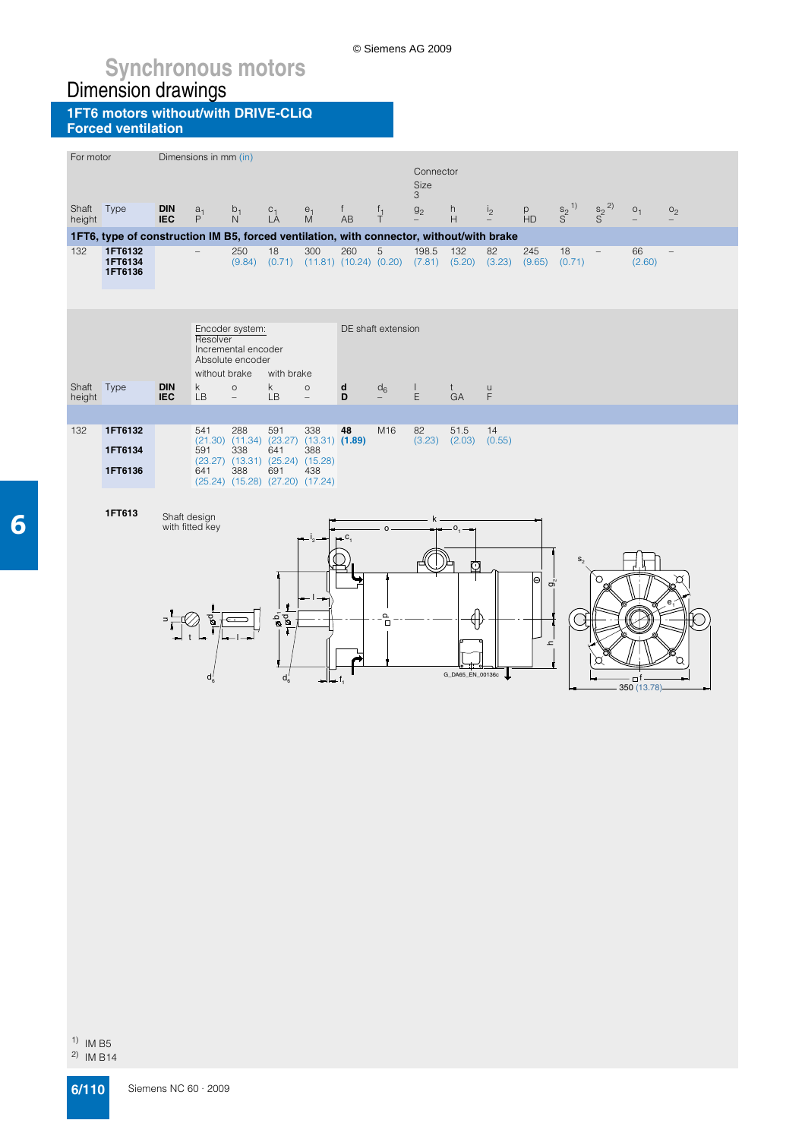© Siemens AG 2009

#### **1FT6 motors without/with DRIVE-CLiQ Forced ventilation**

| For motor       |                                                                                          |                          | Dimensions in mm (in)     |                                                                                   |                                |                              |                                     |                                      | Connector<br>Size<br>3                     |                                 |                |                                                                                            |                       |                       |                    |                |
|-----------------|------------------------------------------------------------------------------------------|--------------------------|---------------------------|-----------------------------------------------------------------------------------|--------------------------------|------------------------------|-------------------------------------|--------------------------------------|--------------------------------------------|---------------------------------|----------------|--------------------------------------------------------------------------------------------|-----------------------|-----------------------|--------------------|----------------|
| Shaft<br>height | Type                                                                                     | <b>DIN</b><br><b>IEC</b> | $a_1$<br>P                | $\frac{b_1}{N}$                                                                   | $C_1$ <sub>L</sub> A           | $\stackrel{e_1}{M}$          | $f_{\perp}$<br><b>AB</b>            | $\frac{f_1}{T}$                      | g <sub>2</sub><br>$\overline{\phantom{0}}$ | h<br>H                          | i <sub>2</sub> | $P$ HD                                                                                     | $S^{2}$ <sup>1)</sup> | $S^{2}$ <sup>2)</sup> | O <sub>1</sub>     | O <sub>2</sub> |
|                 | 1FT6, type of construction IM B5, forced ventilation, with connector, without/with brake |                          |                           |                                                                                   |                                |                              |                                     |                                      |                                            |                                 |                |                                                                                            |                       |                       |                    |                |
| 132             | 1FT6132<br>1FT6134<br>1FT6136                                                            |                          |                           | 250<br>(9.84)                                                                     | 18<br>(0.71)                   | 300                          | 260<br>$(11.81)$ $(10.24)$ $(0.20)$ | 5                                    | 198.5<br>(7.81)                            | 132<br>(5.20)                   | 82<br>(3.23)   | 245<br>(9.65)                                                                              | 18<br>(0.71)          |                       | 66<br>(2.60)       |                |
|                 |                                                                                          |                          | Resolver                  | Encoder system:<br>Incremental encoder<br>Absolute encoder                        |                                |                              |                                     | DE shaft extension                   |                                            |                                 |                |                                                                                            |                       |                       |                    |                |
| Shaft<br>height | Type                                                                                     | <b>DIN</b><br><b>IEC</b> | without brake<br>k.<br>LB | $\circ$<br>$\overline{\phantom{a}}$                                               | with brake<br>k.<br><b>LB</b>  | $\circ$<br>$\qquad \qquad -$ | d<br>D                              | $d_6$                                | $\mathbf{L}$<br>E                          | t<br>GA                         | $\cup$<br>F    |                                                                                            |                       |                       |                    |                |
|                 |                                                                                          |                          |                           |                                                                                   |                                |                              |                                     |                                      |                                            |                                 |                |                                                                                            |                       |                       |                    |                |
| 132             | 1FT6132<br>1FT6134                                                                       |                          | 541<br>591                | 288<br>$(21.30)$ $(11.34)$ $(23.27)$ $(13.31)$ $(1.89)$<br>338                    | 591<br>641                     | 338<br>388                   | 48                                  | M16                                  | 82<br>(3.23)                               | 51.5<br>(2.03)                  | 14<br>(0.55)   |                                                                                            |                       |                       |                    |                |
|                 | 1FT6136                                                                                  |                          | 641                       | (23.27) (13.31) (25.24) (15.28)<br>388<br>$(25.24)$ $(15.28)$ $(27.20)$ $(17.24)$ | 691                            | 438                          |                                     |                                      |                                            |                                 |                |                                                                                            |                       |                       |                    |                |
|                 | 1FT613                                                                                   | Shaft design             | with fitted key<br>ď      |                                                                                   | $\frac{1}{8}$<br>$d'_{\kappa}$ |                              | с                                   | $\circ$<br>$\frac{\mathsf{p}}{\Box}$ |                                            | $0, -$<br>⋒<br>G_DA65_EN_00136c |                | $\Theta$<br>$\sigma_{\!\scriptscriptstyle\! N}^{\!\scriptscriptstyle\! N}$<br>$\mathbf{r}$ |                       | С                     | □f<br>350 (13.78)- |                |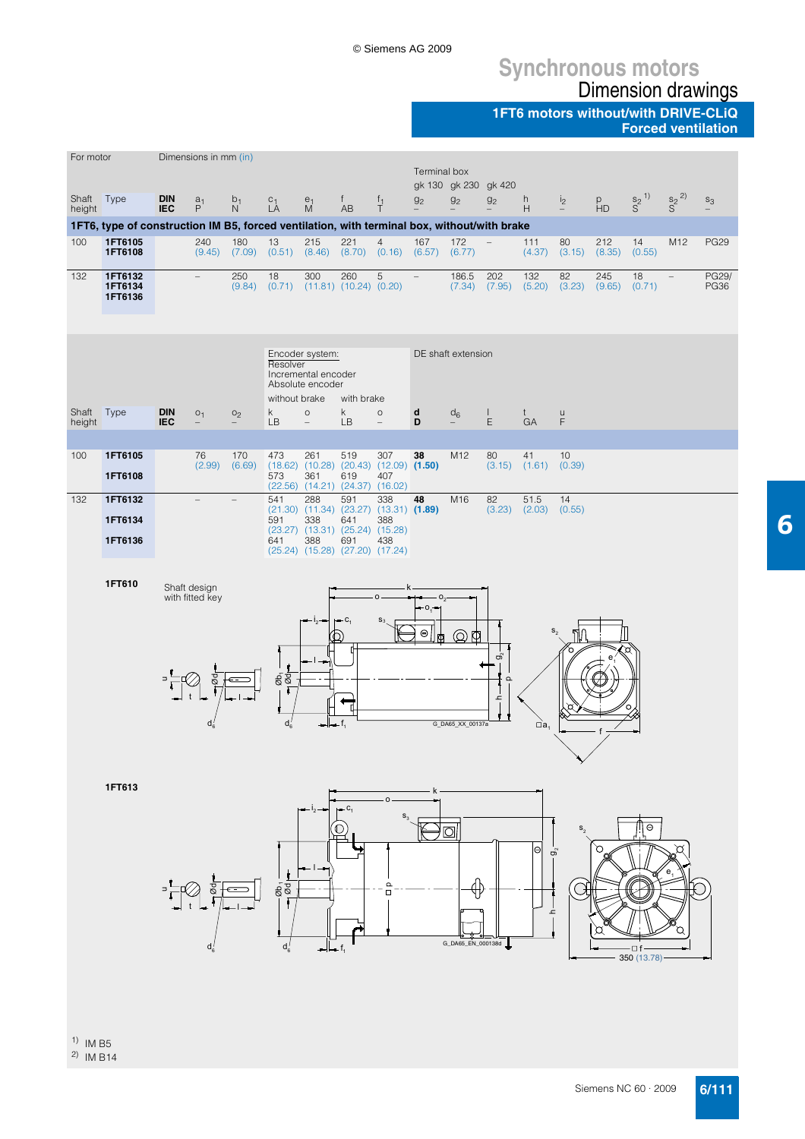## **Synchronous motors** Dimension drawings

**1FT6 motors without/with DRIVE-CLiQ**

**Forced ventilation**

6

| For motor            |                                                                                             |                          | Dimensions in mm (in)                      |                                                              |                                                                |                                                                                                                                                             |                    |                                     | Terminal box             | gk 130 gk 230 gk 420                             |                          |                |                        |                          |                       |                      |                      |
|----------------------|---------------------------------------------------------------------------------------------|--------------------------|--------------------------------------------|--------------------------------------------------------------|----------------------------------------------------------------|-------------------------------------------------------------------------------------------------------------------------------------------------------------|--------------------|-------------------------------------|--------------------------|--------------------------------------------------|--------------------------|----------------|------------------------|--------------------------|-----------------------|----------------------|----------------------|
| Shaft Type<br>height |                                                                                             | <b>DIN</b><br><b>IEC</b> | a <sub>1</sub><br>$\mathsf P$              | $b_1$<br>$\mathsf{N}$                                        | $L_A^C$                                                        | $\frac{e_1}{M}$                                                                                                                                             | $^{\dagger}$<br>AB | $f_1$<br>T                          | g <sub>2</sub>           | g <sub>2</sub>                                   | g <sub>2</sub>           | h<br>H         | i <sub>2</sub>         | $P$ HD                   | $S^{2}$ <sup>1)</sup> | $\frac{S_2}{S}^{2)}$ | $\mathsf{s}_3$       |
|                      | 1FT6, type of construction IM B5, forced ventilation, with terminal box, without/with brake |                          |                                            |                                                              |                                                                |                                                                                                                                                             |                    |                                     |                          |                                                  |                          |                |                        |                          |                       |                      |                      |
| 100                  | 1FT6105<br>1FT6108                                                                          |                          | 240<br>(9.45)                              | 180<br>$(7.09)$ $(0.51)$ $(8.46)$ $(8.70)$ $(0.16)$ $(6.57)$ | 13                                                             | 215                                                                                                                                                         | 221                | $\overline{4}$                      | 167                      | 172<br>(6.77)                                    | $\overline{\phantom{a}}$ | 111<br>(4.37)  | 80<br>(3.15)           | 212<br>(8.35)            | 14<br>(0.55)          | M12                  | <b>PG29</b>          |
| 132                  | 1FT6132<br>1FT6134<br>1FT6136                                                               |                          | $\qquad \qquad -$                          | 250<br>(9.84)                                                | 18<br>$(0.71)$ $(11.81)$ $(10.24)$ $(0.20)$                    | 300                                                                                                                                                         | 260                | 5                                   | $\overline{\phantom{a}}$ | 186.5<br>$(7.34)$ $(7.95)$                       | 202                      | 132<br>(5.20)  | 82<br>(3.23)           | 245<br>$(9.65)$ $(0.71)$ | 18                    | $\qquad \qquad -$    | PG29/<br><b>PG36</b> |
|                      |                                                                                             |                          |                                            |                                                              | Resolver<br>without brake                                      | Encoder system:<br>Incremental encoder<br>Absolute encoder                                                                                                  | with brake         |                                     |                          | DE shaft extension                               |                          |                |                        |                          |                       |                      |                      |
| Shaft<br>height      | Type                                                                                        | <b>DIN</b><br><b>IEC</b> | O <sub>1</sub><br>$\overline{\phantom{0}}$ | O <sub>2</sub>                                               | k<br><b>LB</b>                                                 | $\circ$<br>$\qquad \qquad -$                                                                                                                                | $\mathsf{k}$<br>LB | $\circ$<br>$\overline{\phantom{0}}$ | d<br>D                   | $\mathsf{d}_6$<br>$\overline{\phantom{0}}$       | $\mathbf \Phi$<br>Ε      | t<br>GA        | $\sf U$<br>$\mathsf F$ |                          |                       |                      |                      |
| 100                  | 1FT6105<br>1FT6108                                                                          |                          | 76<br>(2.99)                               | 170<br>(6.69)                                                | 473<br>$(18.62)$ $(10.28)$ $(20.43)$ $(12.09)$ $(1.50)$<br>573 | 261<br>361<br>(22.56) (14.21) (24.37) (16.02)                                                                                                               | 519<br>619         | 307<br>407                          | 38                       | M12                                              | 80<br>(3.15)             | 41<br>(1.61)   | 10<br>(0.39)           |                          |                       |                      |                      |
| 132                  | 1FT6132<br>1FT6134<br>1FT6136                                                               |                          | $\overline{\phantom{0}}$                   |                                                              | 541<br>591<br>641                                              | 288<br>$(21.30)$ $(11.34)$ $(23.27)$ $(13.31)$ $(1.89)$<br>338<br>$(23.27)$ $(13.31)$ $(25.24)$ $(15.28)$<br>388<br>$(25.24)$ $(15.28)$ $(27.20)$ $(17.24)$ | 591<br>641<br>691  | 338<br>388<br>438                   | 48                       | M16                                              | 82<br>(3.23)             | 51.5<br>(2.03) | 14<br>(0.55)           |                          |                       |                      |                      |
|                      | 1FT610<br>1FT613                                                                            |                          | Shaft design<br>with fitted key            |                                                              | $rac{1}{8}$<br>$d_6'$                                          |                                                                                                                                                             | — C.<br>.C.        | o<br>S.                             | ∙o.⊣<br>Θ<br>m           | ⊙<br>Ю<br>G_DA65_XX_00137a<br>$\overline{\circ}$ | တိ<br>$\Omega$<br>ᅩ      | $\Box a$       | ิกิ∩                   |                          | $\Theta$              |                      |                      |
|                      |                                                                                             |                          |                                            |                                                              | $\frac{8}{6}$<br>$d_6'$                                        |                                                                                                                                                             |                    | $\Box$                              |                          | ╬<br>G_DA65_EN_000138d _                         |                          | Θ<br>ອິ<br>ᅩ   |                        | O                        | □f<br>350 (13.78)     | n                    |                      |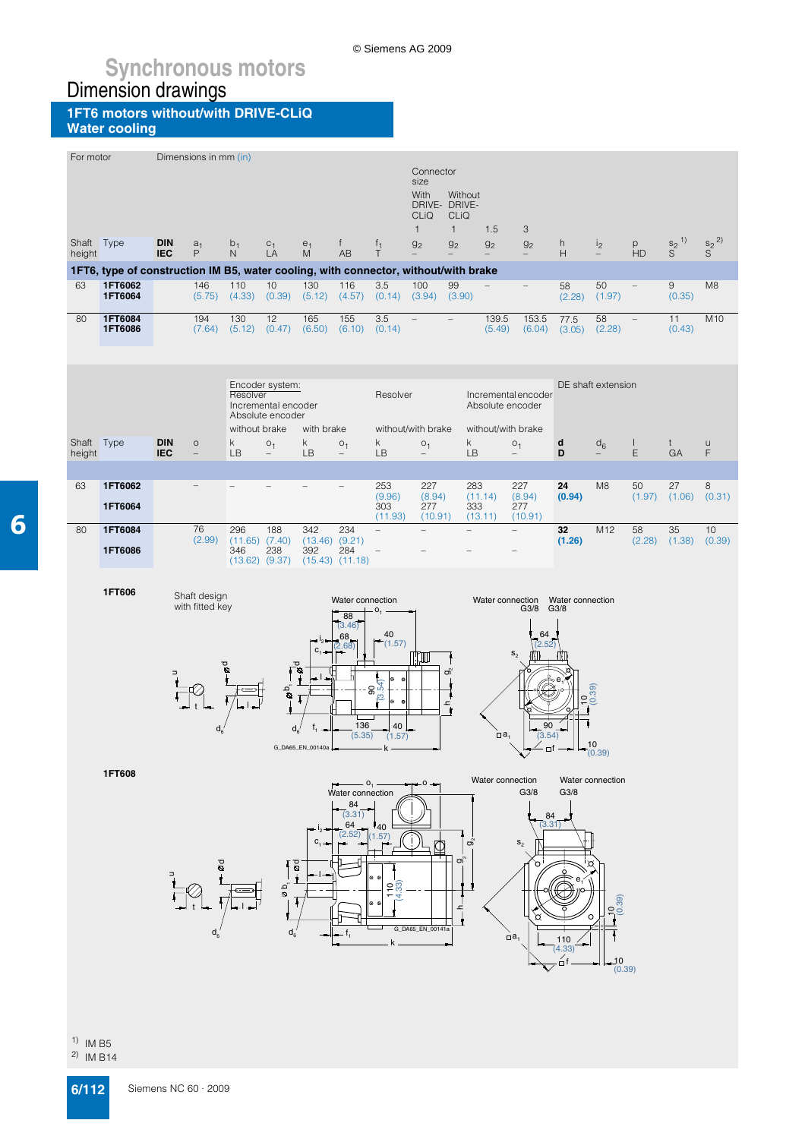© Siemens AG 2009

**1FT6 motors without/with DRIVE-CLiQ Water cooling**

| For motor            |                                                                                     |                          | Dimensions in mm (in)        |                          |                           |                  |                                     |                                  |                                            |                          |                       |                                            |                     |                    |                          |                            |                      |
|----------------------|-------------------------------------------------------------------------------------|--------------------------|------------------------------|--------------------------|---------------------------|------------------|-------------------------------------|----------------------------------|--------------------------------------------|--------------------------|-----------------------|--------------------------------------------|---------------------|--------------------|--------------------------|----------------------------|----------------------|
|                      |                                                                                     |                          |                              |                          |                           |                  |                                     |                                  | Connector<br>size                          |                          |                       |                                            |                     |                    |                          |                            |                      |
|                      |                                                                                     |                          |                              |                          |                           |                  |                                     |                                  | With<br>DRIVE- DRIVE-                      | Without                  |                       |                                            |                     |                    |                          |                            |                      |
|                      |                                                                                     |                          |                              |                          |                           |                  |                                     |                                  | <b>CLIQ</b><br>$\mathbf{1}$                | CLIQ<br>$\mathbf{1}$     | 1.5                   | 3                                          |                     |                    |                          |                            |                      |
| Shaft Type<br>height |                                                                                     | <b>DIN</b><br><b>IEC</b> | a <sub>1</sub><br>P          | $b_1$<br>$\mathsf{N}$    | $C_1$ <sub>L</sub> A      | $\frac{e_1}{M}$  | f.<br><b>AB</b>                     | $\frac{f_1}{T}$                  | g <sub>2</sub>                             | g <sub>2</sub>           | g <sub>2</sub>        | g <sub>2</sub>                             | h<br>H              | i <sub>2</sub>     | $P$ HD                   | $\frac{s_2}{S}^{1)}$       | $\frac{s_2}{S}^{2)}$ |
|                      | 1FT6, type of construction IM B5, water cooling, with connector, without/with brake |                          |                              |                          |                           |                  |                                     |                                  |                                            |                          |                       |                                            |                     |                    |                          |                            |                      |
| 63                   | 1FT6062<br>1FT6064                                                                  |                          | 146                          | 110<br>$(5.75)$ $(4.33)$ | 10<br>(0.39)              | 130              | 116<br>$(5.12)$ $(4.57)$            | 3.5<br>$(0.14)$ $(3.94)$         | 100                                        | 99<br>(3.90)             |                       | $\overline{\phantom{0}}$                   | 58<br>(2.28)        | 50<br>(1.97)       |                          | $\boldsymbol{9}$<br>(0.35) | M <sub>8</sub>       |
| 80                   | 1FT6084<br>1FT6086                                                                  |                          | 194<br>(7.64)                | 130<br>(5.12)            | 12<br>(0.47)              | 165              | 155<br>$(6.50)$ $(6.10)$ $(0.14)$   | 3.5                              | $\overline{\phantom{a}}$                   | $\overline{\phantom{a}}$ | 139.5<br>(5.49)       | 153.5<br>(6.04)                            | 77.5<br>(3.05)      | 58<br>(2.28)       | $\overline{\phantom{a}}$ | 11<br>(0.43)               | M10                  |
|                      |                                                                                     |                          |                              |                          |                           |                  |                                     |                                  |                                            |                          |                       |                                            |                     |                    |                          |                            |                      |
|                      |                                                                                     |                          |                              |                          | Encoder system:           |                  |                                     |                                  |                                            |                          |                       |                                            |                     | DE shaft extension |                          |                            |                      |
|                      |                                                                                     |                          |                              | Resolver                 | Incremental encoder       |                  |                                     | Resolver                         |                                            |                          |                       | Incremental encoder<br>Absolute encoder    |                     |                    |                          |                            |                      |
|                      |                                                                                     |                          |                              | without brake            | Absolute encoder          | with brake       |                                     |                                  | without/with brake                         |                          |                       | without/with brake                         |                     |                    |                          |                            |                      |
| Shaft Type<br>height |                                                                                     | <b>DIN</b><br><b>IEC</b> | $\circ$<br>$\qquad \qquad -$ | k<br>LB                  | O <sub>1</sub><br>$-$     | k<br>LB          | O <sub>1</sub><br>$\qquad \qquad -$ | k.<br>LB                         | O <sub>1</sub><br>$\overline{\phantom{m}}$ | k.<br>LB                 |                       | O <sub>1</sub><br>$\overline{\phantom{0}}$ | d<br>D              | $d_6$              | L<br>E                   | t<br>GA                    | u<br>F               |
|                      |                                                                                     |                          |                              |                          |                           |                  |                                     |                                  |                                            |                          |                       |                                            |                     |                    |                          |                            |                      |
| 63                   | 1FT6062                                                                             |                          |                              |                          |                           |                  |                                     | 253<br>(9.96)                    | 227<br>(8.94)                              | 283                      | (11.14)               | 227<br>(8.94)                              | 24<br>(0.94)        | M <sub>8</sub>     | 50<br>(1.97)             | 27<br>(1.06)               | 8<br>(0.31)          |
|                      | 1FT6064                                                                             |                          |                              |                          |                           |                  |                                     | 303<br>(11.93)                   | 277<br>(10.91)                             | 333                      | (13.11)               | 277<br>(10.91)                             |                     |                    |                          |                            |                      |
| 80                   | 1FT6084                                                                             |                          | 76<br>(2.99)                 | 296                      | 188<br>$(11.65)$ $(7.40)$ | 342              | 234<br>$(13.46)$ $(9.21)$           | $\qquad \qquad -$                |                                            |                          |                       | $\overline{\phantom{0}}$                   | 32<br>(1.26)        | M12                | 58<br>(2.28)             | 35<br>(1.38)               | 10<br>(0.39)         |
|                      | 1FT6086                                                                             |                          |                              | 346                      | 238<br>$(13.62)$ $(9.37)$ | 392              | 284<br>$(15.43)$ $(11.18)$          | $\qquad \qquad -$                |                                            |                          |                       |                                            |                     |                    |                          |                            |                      |
|                      | 1FT606                                                                              |                          | Shaft design                 |                          |                           |                  | Water connection                    |                                  |                                            |                          |                       | Water connection                           | Water connection    |                    |                          |                            |                      |
|                      |                                                                                     |                          | with fitted key              |                          |                           |                  | 88                                  | 0,                               |                                            |                          |                       | G3/8                                       | G3/8                |                    |                          |                            |                      |
|                      |                                                                                     |                          |                              |                          |                           |                  | (3.46)<br>68<br>(2.68)              | 40<br>(1.57)                     |                                            |                          |                       | 64                                         |                     |                    |                          |                            |                      |
|                      |                                                                                     |                          |                              | ರ                        |                           | $C_1 -$<br>م_م   |                                     |                                  | JШ                                         | ති                       |                       | $S_2$                                      |                     |                    |                          |                            |                      |
|                      |                                                                                     |                          |                              |                          | $\mathfrak{g}$            |                  |                                     | ۱Ø<br>ø<br>$\frac{90}{154}$<br>ಲ |                                            |                          |                       |                                            |                     |                    |                          |                            |                      |
|                      |                                                                                     |                          |                              |                          |                           |                  |                                     | ۱Θ<br>¢                          |                                            | ا ہے                     |                       |                                            |                     | ö                  |                          |                            |                      |
|                      |                                                                                     |                          |                              |                          | $d_{\kappa}$              |                  | 136<br>(5.35)                       | 40<br>(1.57)                     |                                            |                          | $\Box$ a <sub>1</sub> | 90<br>(3.54)                               |                     | 10                 |                          |                            |                      |
|                      |                                                                                     |                          |                              |                          |                           | G_DA65_EN_00140a |                                     | k                                |                                            |                          |                       |                                            | $-$ of $  ( (0.39)$ |                    |                          |                            |                      |
|                      | 1FT608                                                                              |                          |                              |                          |                           |                  | Water connection                    | O <sub>1</sub>                   | ۰O                                         |                          | Water connection      | G3/8                                       | G3/8                | Water connection   |                          |                            |                      |
|                      |                                                                                     |                          |                              |                          |                           |                  | 84<br>(3.31)                        |                                  |                                            |                          |                       | 84                                         |                     |                    |                          |                            |                      |
|                      |                                                                                     |                          |                              |                          |                           | $C_{1}$          | 64<br>(2.52)                        | 140<br>1.57                      |                                            |                          |                       | (3.31)                                     |                     |                    |                          |                            |                      |
|                      |                                                                                     |                          | š                            |                          |                           | 0g               |                                     |                                  |                                            | တ<br>ຫຶ                  |                       | $\mathbf{S}_2$<br>ত                        |                     |                    |                          |                            |                      |
|                      |                                                                                     |                          |                              |                          | οb.<br>Θ                  |                  |                                     |                                  |                                            |                          |                       |                                            |                     |                    |                          |                            |                      |
|                      |                                                                                     |                          |                              |                          |                           |                  |                                     |                                  |                                            | ᅩ                        |                       |                                            |                     | 10.39              |                          |                            |                      |
|                      |                                                                                     |                          |                              |                          |                           |                  |                                     |                                  |                                            |                          |                       | ₻                                          |                     | O                  |                          |                            |                      |
|                      |                                                                                     |                          | d,                           |                          | $\mathsf{d}_6$            |                  |                                     |                                  | G_DA65_EN_00141a                           |                          |                       |                                            |                     |                    |                          |                            |                      |
|                      |                                                                                     |                          |                              |                          |                           |                  |                                     |                                  |                                            |                          |                       | $\Box$ a                                   | 110<br>(4.33)       |                    |                          |                            |                      |
|                      |                                                                                     |                          |                              |                          |                           |                  |                                     |                                  |                                            |                          |                       |                                            | út                  | 10<br>(0.39)       |                          |                            |                      |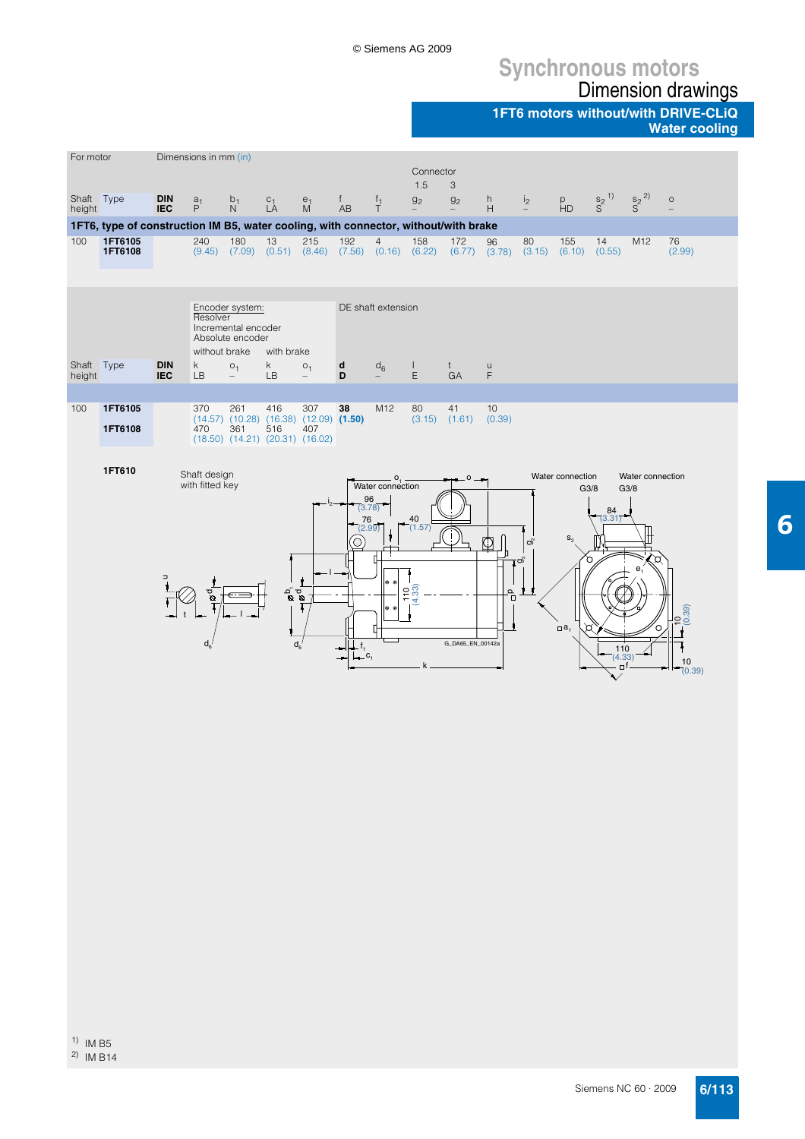## **Synchronous motors** Dimension drawings

**1FT6 motors without/with DRIVE-CLiQ**

**Water cooling**

| For motor            |                                                                                                                                                                                                                                                                                                                                                  |                          | Dimensions in mm (in)                       |                                |                                  |                     |                                     |                                                       |                                             |                             |                   |                                                   |                                                                   |                                     |                          |                                     |
|----------------------|--------------------------------------------------------------------------------------------------------------------------------------------------------------------------------------------------------------------------------------------------------------------------------------------------------------------------------------------------|--------------------------|---------------------------------------------|--------------------------------|----------------------------------|---------------------|-------------------------------------|-------------------------------------------------------|---------------------------------------------|-----------------------------|-------------------|---------------------------------------------------|-------------------------------------------------------------------|-------------------------------------|--------------------------|-------------------------------------|
|                      |                                                                                                                                                                                                                                                                                                                                                  |                          |                                             |                                |                                  |                     |                                     |                                                       | Connector<br>1.5                            | 3                           |                   |                                                   |                                                                   |                                     |                          |                                     |
| Shaft Type<br>height |                                                                                                                                                                                                                                                                                                                                                  | <b>DIN</b><br><b>IEC</b> | a <sub>1</sub><br>P                         | b <sub>1</sub><br>$\mathsf{N}$ | $L_A^C$                          | e <sub>1</sub><br>M | f.<br>AB                            | $f_1$<br>$\top$                                       | 9 <sub>2</sub>                              | g <sub>2</sub><br>-         | h<br>H            | i <sub>2</sub>                                    | p<br>HD                                                           | $\frac{S_2}{S}^{1)}$                | $\frac{S_2}{S}^{2)}$     | $\circ$                             |
|                      | 1FT6, type of construction IM B5, water cooling, with connector, without/with brake                                                                                                                                                                                                                                                              |                          |                                             |                                |                                  |                     |                                     |                                                       |                                             |                             |                   |                                                   |                                                                   |                                     |                          |                                     |
| 100                  | 1FT6105<br>1FT6108                                                                                                                                                                                                                                                                                                                               |                          | 240<br>(9.45)                               | 180<br>(7.09)                  | 13<br>(0.51)                     | 215                 | 192                                 | $\overline{4}$<br>$(8.46)$ $(7.56)$ $(0.16)$ $(6.22)$ | 158                                         | 172<br>(6.77)               | 96<br>(3.78)      | 80<br>(3.15)                                      | 155<br>(6.10)                                                     | 14<br>(0.55)                        | M12                      | 76<br>(2.99)                        |
|                      | Encoder system:<br>DE shaft extension<br>Resolver<br>Incremental encoder<br>Absolute encoder<br>without brake<br>with brake<br><b>DIN</b><br>k<br>k.<br>O <sub>1</sub><br>O <sub>1</sub><br>d<br>$d_6$<br>$\mathbf{L}$<br>$t -$<br>$\cup$<br>GA<br><b>IEC</b><br>LB<br>E<br>F<br>LB<br>D<br>$\overline{\phantom{a}}$<br>$\overline{\phantom{0}}$ |                          |                                             |                                |                                  |                     |                                     |                                                       |                                             |                             |                   |                                                   |                                                                   |                                     |                          |                                     |
| height               |                                                                                                                                                                                                                                                                                                                                                  |                          |                                             |                                |                                  |                     |                                     |                                                       |                                             |                             |                   |                                                   |                                                                   |                                     |                          |                                     |
|                      | Shaft Type                                                                                                                                                                                                                                                                                                                                       |                          |                                             |                                |                                  |                     |                                     |                                                       |                                             |                             |                   |                                                   |                                                                   |                                     |                          |                                     |
| 100                  | 1FT6105<br>261<br>307<br>38<br>M12<br>80<br>10<br>370<br>416<br>41<br>$(14.57)$ $(10.28)$ $(16.38)$ $(12.09)$ $(1.50)$<br>(3.15)<br>(1.61)<br>(0.39)<br>1FT6108<br>470<br>361<br>516<br>407<br>$(18.50)$ $(14.21)$ $(20.31)$ $(16.02)$                                                                                                           |                          |                                             |                                |                                  |                     |                                     |                                                       |                                             |                             |                   |                                                   |                                                                   |                                     |                          |                                     |
|                      | 1FT610                                                                                                                                                                                                                                                                                                                                           |                          | Shaft design<br>with fitted key<br>pø<br>d, |                                | $\frac{p}{\mathbf{Q}}\mathbf{Q}$ | $d_{\rm a}$         | 96<br>(3.78)<br>76<br>(2.99)<br>.c. | O <sub>1</sub><br>Water connection<br>$^{\circ}$<br>6 | 40<br>(1.57)<br>$\overline{33}$<br>٥Ļ<br>Ŕ, | $\circ$<br>G_DA65_EN_00142a | ¢<br>$\mathbf{e}$ | $\sigma_{\rm s}$<br>$\mathfrak{c}_{\mathfrak{A}}$ | Water connection<br>G3/8<br>$S_{2}$<br>$\Box$ a <sub>1</sub><br>r | 84<br>(3.31)<br>110<br>(4.33)<br>⊡f | Water connection<br>G3/8 | $\frac{10}{(0.39)}$<br>10<br>(0.39) |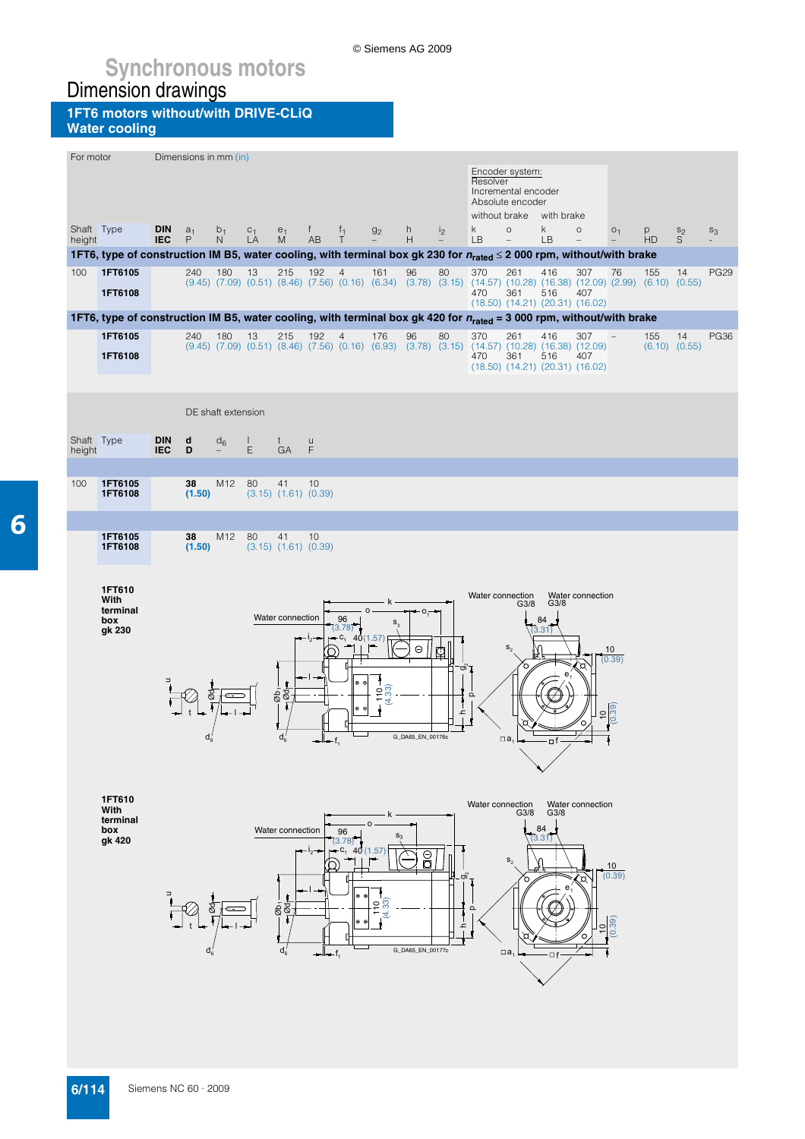© Siemens AG 2009

**1FT6 motors without/with DRIVE-CLiQ Water cooling**